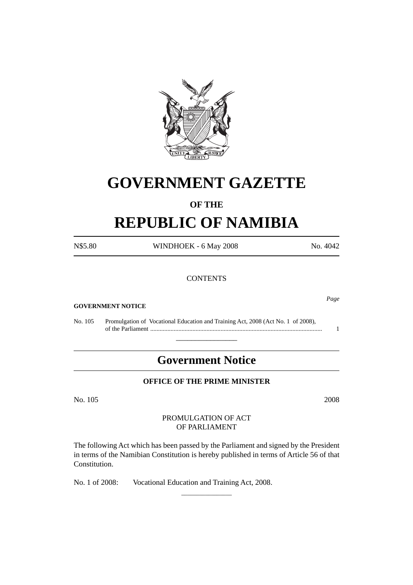

# **GOVERNMENT GAZETTE**

## **OF THE**

# **REPUBLIC OF NAMIBIA**

| N\$5.80 | WINDHOEK - 6 May 2008 | No. 4042 |
|---------|-----------------------|----------|
|         | <b>CONTENTS</b>       |          |
|         |                       |          |

#### **GOVERNMENT NOTICE**

No. 105 Promulgation of Vocational Education and Training Act, 2008 (Act No. 1 of 2008), of the Parliament .............................................................................................................. 1

## **Government Notice**

\_\_\_\_\_\_\_\_\_\_\_\_\_\_\_\_

#### **OFFICE OF THE PRIME MINISTER**

No. 105 2008

#### PROMULGATION OF ACT OF PARLIAMENT

The following Act which has been passed by the Parliament and signed by the President in terms of the Namibian Constitution is hereby published in terms of Article 56 of that Constitution.

\_\_\_\_\_\_\_\_\_\_\_\_\_\_\_\_\_

No. 1 of 2008: Vocational Education and Training Act, 2008.

*Page*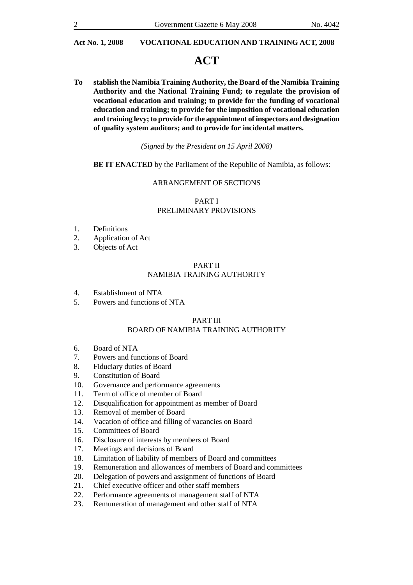## **ACT**

**To stablish the Namibia Training Authority, the Board of the Namibia Training Authority and the National Training Fund; to regulate the provision of vocational education and training; to provide for the funding of vocational education and training; to provide for the imposition of vocational education and training levy; to provide for the appointment of inspectors and designation of quality system auditors; and to provide for incidental matters.**

#### *(Signed by the President on 15 April 2008)*

#### **BE IT ENACTED** by the Parliament of the Republic of Namibia, as follows:

#### ARRANGEMENT OF SECTIONS

### PART I PRELIMINARY PROVISIONS

- 1. Definitions
- 2. Application of Act
- 3. Objects of Act

#### PART II NAMIBIA TRAINING AUTHORITY

- 4. Establishment of NTA
- 5. Powers and functions of NTA

#### PART III

#### BOARD OF NAMIBIA TRAINING AUTHORITY

- 6. Board of NTA
- 7. Powers and functions of Board
- 8. Fiduciary duties of Board
- 9. Constitution of Board
- 10. Governance and performance agreements
- 11. Term of office of member of Board
- 12. Disqualification for appointment as member of Board
- 13. Removal of member of Board
- 14. Vacation of office and filling of vacancies on Board
- 15. Committees of Board
- 16. Disclosure of interests by members of Board
- 17. Meetings and decisions of Board
- 18. Limitation of liability of members of Board and committees
- 19. Remuneration and allowances of members of Board and committees
- 20. Delegation of powers and assignment of functions of Board
- 21. Chief executive officer and other staff members
- 22. Performance agreements of management staff of NTA
- 23. Remuneration of management and other staff of NTA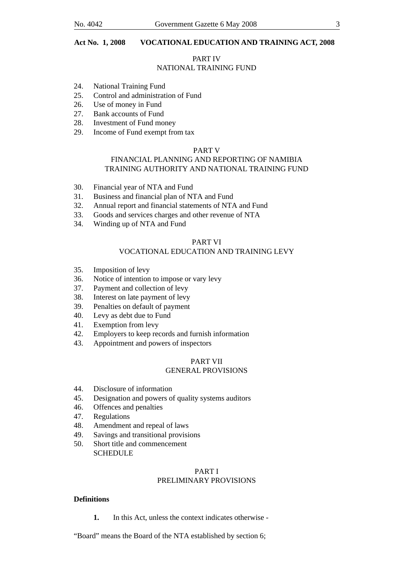#### PART IV

#### NATIONAL TRAINING FUND

- 24. National Training Fund
- 25. Control and administration of Fund
- 26. Use of money in Fund
- 27. Bank accounts of Fund
- 28. Investment of Fund money
- 29. Income of Fund exempt from tax

#### PART V

#### FINANCIAL PLANNING AND REPORTING OF NAMIBIA TRAINING AUTHORITY AND NATIONAL TRAINING FUND

- 30. Financial year of NTA and Fund
- 31. Business and financial plan of NTA and Fund
- 32. Annual report and financial statements of NTA and Fund
- 33. Goods and services charges and other revenue of NTA
- 34. Winding up of NTA and Fund

#### PART VI

#### VOCATIONAL EDUCATION AND TRAINING LEVY

- 35. Imposition of levy
- 36. Notice of intention to impose or vary levy
- 37. Payment and collection of levy
- 38. Interest on late payment of levy
- 39. Penalties on default of payment
- 40. Levy as debt due to Fund
- 41. Exemption from levy
- 42. Employers to keep records and furnish information
- 43. Appointment and powers of inspectors

#### PART VII GENERAL PROVISIONS

- 44. Disclosure of information
- 45. Designation and powers of quality systems auditors
- 46. Offences and penalties
- 47. Regulations
- 48. Amendment and repeal of laws
- 49. Savings and transitional provisions
- 50. Short title and commencement **SCHEDULE**

## PART I

### PRELIMINARY PROVISIONS

#### **Definitions**

**1.** In this Act, unless the context indicates otherwise -

"Board" means the Board of the NTA established by section 6;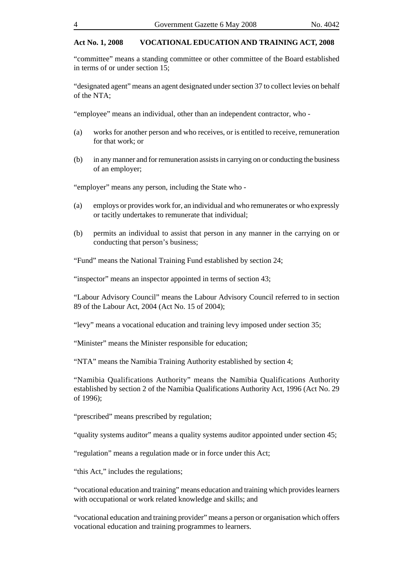"committee" means a standing committee or other committee of the Board established in terms of or under section 15;

"designated agent" means an agent designated under section 37 to collect levies on behalf of the NTA;

"employee" means an individual, other than an independent contractor, who -

- (a) works for another person and who receives, or is entitled to receive, remuneration for that work; or
- (b) in any manner and for remuneration assists in carrying on or conducting the business of an employer;

"employer" means any person, including the State who -

- (a) employs or provides work for, an individual and who remunerates or who expressly or tacitly undertakes to remunerate that individual;
- (b) permits an individual to assist that person in any manner in the carrying on or conducting that person's business;

"Fund" means the National Training Fund established by section 24;

"inspector" means an inspector appointed in terms of section 43;

"Labour Advisory Council" means the Labour Advisory Council referred to in section 89 of the Labour Act, 2004 (Act No. 15 of 2004);

"levy" means a vocational education and training levy imposed under section 35;

"Minister" means the Minister responsible for education;

"NTA" means the Namibia Training Authority established by section 4;

"Namibia Qualifications Authority" means the Namibia Qualifications Authority established by section 2 of the Namibia Qualifications Authority Act, 1996 (Act No. 29 of 1996);

"prescribed" means prescribed by regulation;

"quality systems auditor" means a quality systems auditor appointed under section 45;

"regulation" means a regulation made or in force under this Act;

"this Act," includes the regulations;

"vocational education and training" means education and training which provides learners with occupational or work related knowledge and skills; and

"vocational education and training provider" means a person or organisation which offers vocational education and training programmes to learners.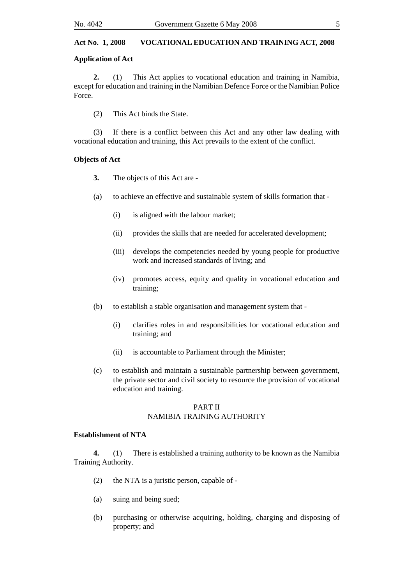#### **Application of Act**

**2.** (1) This Act applies to vocational education and training in Namibia, except for education and training in the Namibian Defence Force or the Namibian Police Force.

(2) This Act binds the State.

(3) If there is a conflict between this Act and any other law dealing with vocational education and training, this Act prevails to the extent of the conflict.

#### **Objects of Act**

- **3.** The objects of this Act are -
- (a) to achieve an effective and sustainable system of skills formation that
	- (i) is aligned with the labour market;
	- (ii) provides the skills that are needed for accelerated development;
	- (iii) develops the competencies needed by young people for productive work and increased standards of living; and
	- (iv) promotes access, equity and quality in vocational education and training;
- (b) to establish a stable organisation and management system that
	- (i) clarifies roles in and responsibilities for vocational education and training; and
	- (ii) is accountable to Parliament through the Minister;
- (c) to establish and maintain a sustainable partnership between government, the private sector and civil society to resource the provision of vocational education and training.

#### PART II NAMIBIA TRAINING AUTHORITY

#### **Establishment of NTA**

**4.** (1) There is established a training authority to be known as the Namibia Training Authority.

- (2) the NTA is a juristic person, capable of -
- (a) suing and being sued;
- (b) purchasing or otherwise acquiring, holding, charging and disposing of property; and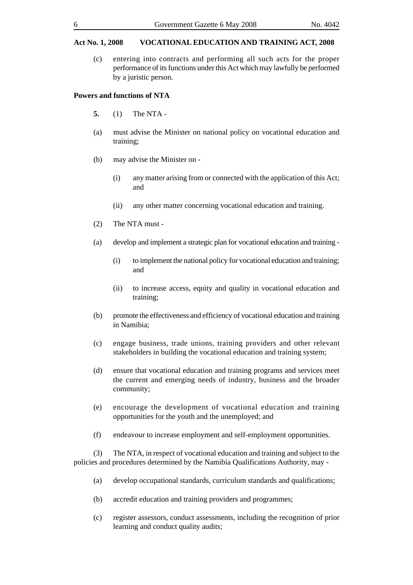(c) entering into contracts and performing all such acts for the proper performance of its functions under this Act which may lawfully be performed by a juristic person.

#### **Powers and functions of NTA**

- **5.** (1) The NTA -
- (a) must advise the Minister on national policy on vocational education and training;
- (b) may advise the Minister on
	- (i) any matter arising from or connected with the application of this Act; and
	- (ii) any other matter concerning vocational education and training.
- (2) The NTA must -
- (a) develop and implement a strategic plan for vocational education and training
	- (i) to implement the national policy for vocational education and training; and
	- (ii) to increase access, equity and quality in vocational education and training;
- (b) promote the effectiveness and efficiency of vocational education and training in Namibia;
- (c) engage business, trade unions, training providers and other relevant stakeholders in building the vocational education and training system;
- (d) ensure that vocational education and training programs and services meet the current and emerging needs of industry, business and the broader community;
- (e) encourage the development of vocational education and training opportunities for the youth and the unemployed; and
- (f) endeavour to increase employment and self-employment opportunities.

(3) The NTA, in respect of vocational education and training and subject to the policies and procedures determined by the Namibia Qualifications Authority, may -

- (a) develop occupational standards, curriculum standards and qualifications;
- (b) accredit education and training providers and programmes;
- (c) register assessors, conduct assessments, including the recognition of prior learning and conduct quality audits;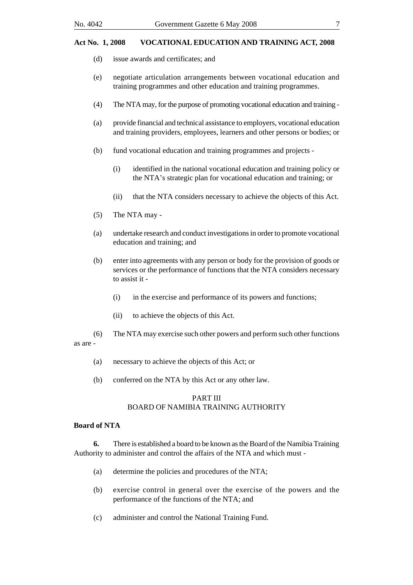- (d) issue awards and certificates; and
- (e) negotiate articulation arrangements between vocational education and training programmes and other education and training programmes.
- (4) The NTA may, for the purpose of promoting vocational education and training -
- (a) provide financial and technical assistance to employers, vocational education and training providers, employees, learners and other persons or bodies; or
- (b) fund vocational education and training programmes and projects
	- (i) identified in the national vocational education and training policy or the NTA's strategic plan for vocational education and training; or
	- (ii) that the NTA considers necessary to achieve the objects of this Act.
- (5) The NTA may -
- (a) undertake research and conduct investigations in order to promote vocational education and training; and
- (b) enter into agreements with any person or body for the provision of goods or services or the performance of functions that the NTA considers necessary to assist it -
	- (i) in the exercise and performance of its powers and functions;
	- (ii) to achieve the objects of this Act.
- (6) The NTA may exercise such other powers and perform such other functions

as are -

- (a) necessary to achieve the objects of this Act; or
- (b) conferred on the NTA by this Act or any other law.

#### PART III BOARD OF NAMIBIA TRAINING AUTHORITY

#### **Board of NTA**

**6.** There is established a board to be known as the Board of the Namibia Training Authority to administer and control the affairs of the NTA and which must -

- (a) determine the policies and procedures of the NTA;
- (b) exercise control in general over the exercise of the powers and the performance of the functions of the NTA; and
- (c) administer and control the National Training Fund.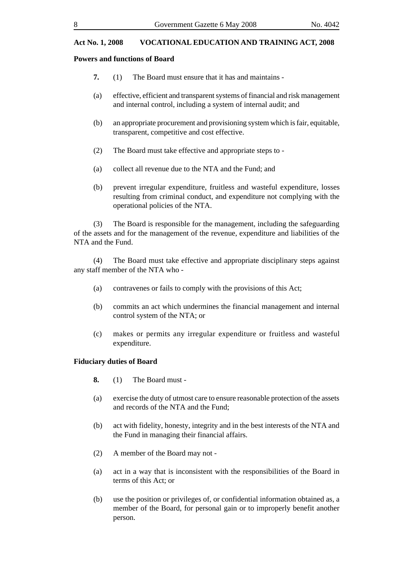#### **Powers and functions of Board**

- **7.** (1) The Board must ensure that it has and maintains -
- (a) effective, efficient and transparent systems of financial and risk management and internal control, including a system of internal audit; and
- (b) an appropriate procurement and provisioning system which is fair, equitable, transparent, competitive and cost effective.
- (2) The Board must take effective and appropriate steps to -
- (a) collect all revenue due to the NTA and the Fund; and
- (b) prevent irregular expenditure, fruitless and wasteful expenditure, losses resulting from criminal conduct, and expenditure not complying with the operational policies of the NTA.

(3) The Board is responsible for the management, including the safeguarding of the assets and for the management of the revenue, expenditure and liabilities of the NTA and the Fund.

(4) The Board must take effective and appropriate disciplinary steps against any staff member of the NTA who -

- (a) contravenes or fails to comply with the provisions of this Act;
- (b) commits an act which undermines the financial management and internal control system of the NTA; or
- (c) makes or permits any irregular expenditure or fruitless and wasteful expenditure.

#### **Fiduciary duties of Board**

- **8.** (1) The Board must -
- (a) exercise the duty of utmost care to ensure reasonable protection of the assets and records of the NTA and the Fund;
- (b) act with fidelity, honesty, integrity and in the best interests of the NTA and the Fund in managing their financial affairs.
- (2) A member of the Board may not -
- (a) act in a way that is inconsistent with the responsibilities of the Board in terms of this Act; or
- (b) use the position or privileges of, or confidential information obtained as, a member of the Board, for personal gain or to improperly benefit another person.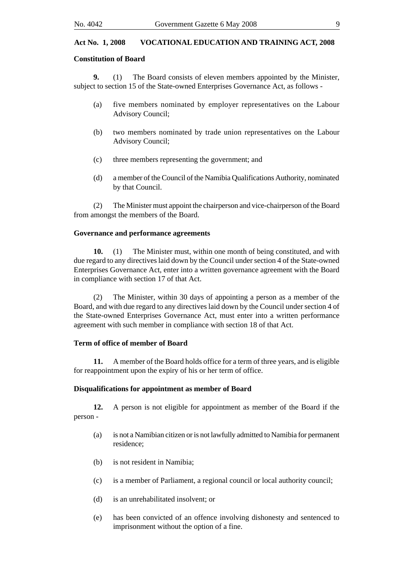#### **Constitution of Board**

**9.** (1) The Board consists of eleven members appointed by the Minister, subject to section 15 of the State-owned Enterprises Governance Act, as follows -

- (a) five members nominated by employer representatives on the Labour Advisory Council;
- (b) two members nominated by trade union representatives on the Labour Advisory Council;
- (c) three members representing the government; and
- (d) a member of the Council of the Namibia Qualifications Authority, nominated by that Council.

(2) The Minister must appoint the chairperson and vice-chairperson of the Board from amongst the members of the Board.

#### **Governance and performance agreements**

**10.** (1) The Minister must, within one month of being constituted, and with due regard to any directives laid down by the Council under section 4 of the State-owned Enterprises Governance Act, enter into a written governance agreement with the Board in compliance with section 17 of that Act.

(2) The Minister, within 30 days of appointing a person as a member of the Board, and with due regard to any directives laid down by the Council under section 4 of the State-owned Enterprises Governance Act, must enter into a written performance agreement with such member in compliance with section 18 of that Act.

#### **Term of office of member of Board**

**11.** A member of the Board holds office for a term of three years, and is eligible for reappointment upon the expiry of his or her term of office.

#### **Disqualifications for appointment as member of Board**

**12.** A person is not eligible for appointment as member of the Board if the person -

- (a) is not a Namibian citizen or is not lawfully admitted to Namibia for permanent residence;
- (b) is not resident in Namibia;
- (c) is a member of Parliament, a regional council or local authority council;
- (d) is an unrehabilitated insolvent; or
- (e) has been convicted of an offence involving dishonesty and sentenced to imprisonment without the option of a fine.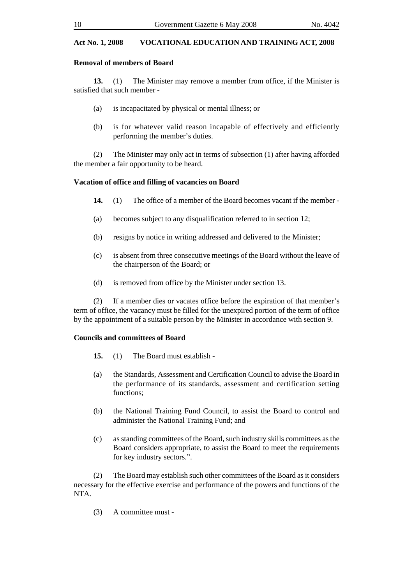#### **Removal of members of Board**

**13.** (1) The Minister may remove a member from office, if the Minister is satisfied that such member -

- (a) is incapacitated by physical or mental illness; or
- (b) is for whatever valid reason incapable of effectively and efficiently performing the member's duties.

(2) The Minister may only act in terms of subsection (1) after having afforded the member a fair opportunity to be heard.

#### **Vacation of office and filling of vacancies on Board**

- **14.** (1) The office of a member of the Board becomes vacant if the member -
- (a) becomes subject to any disqualification referred to in section 12;
- (b) resigns by notice in writing addressed and delivered to the Minister;
- (c) is absent from three consecutive meetings of the Board without the leave of the chairperson of the Board; or
- (d) is removed from office by the Minister under section 13.

(2) If a member dies or vacates office before the expiration of that member's term of office, the vacancy must be filled for the unexpired portion of the term of office by the appointment of a suitable person by the Minister in accordance with section 9.

#### **Councils and committees of Board**

- **15.** (1) The Board must establish -
- (a) the Standards, Assessment and Certification Council to advise the Board in the performance of its standards, assessment and certification setting functions;
- (b) the National Training Fund Council, to assist the Board to control and administer the National Training Fund; and
- (c) as standing committees of the Board, such industry skills committees as the Board considers appropriate, to assist the Board to meet the requirements for key industry sectors.".

(2) The Board may establish such other committees of the Board as it considers necessary for the effective exercise and performance of the powers and functions of the NTA.

(3) A committee must -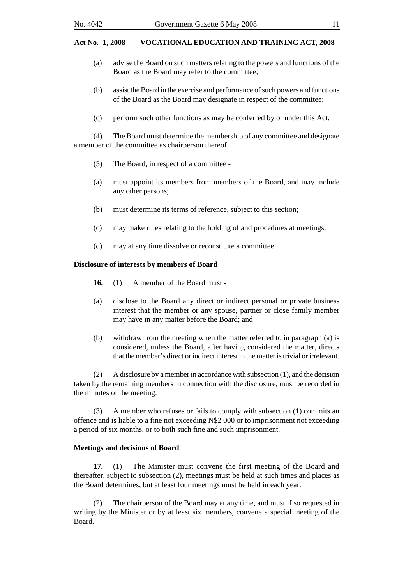- (a) advise the Board on such matters relating to the powers and functions of the Board as the Board may refer to the committee;
- (b) assist the Board in the exercise and performance of such powers and functions of the Board as the Board may designate in respect of the committee;
- (c) perform such other functions as may be conferred by or under this Act.

(4) The Board must determine the membership of any committee and designate a member of the committee as chairperson thereof.

- (5) The Board, in respect of a committee -
- (a) must appoint its members from members of the Board, and may include any other persons;
- (b) must determine its terms of reference, subject to this section;
- (c) may make rules relating to the holding of and procedures at meetings;
- (d) may at any time dissolve or reconstitute a committee.

#### **Disclosure of interests by members of Board**

- **16.** (1) A member of the Board must -
- (a) disclose to the Board any direct or indirect personal or private business interest that the member or any spouse, partner or close family member may have in any matter before the Board; and
- (b) withdraw from the meeting when the matter referred to in paragraph (a) is considered, unless the Board, after having considered the matter, directs that the member's direct or indirect interest in the matter is trivial or irrelevant.

(2) A disclosure by a member in accordance with subsection (1), and the decision taken by the remaining members in connection with the disclosure, must be recorded in the minutes of the meeting.

(3) A member who refuses or fails to comply with subsection (1) commits an offence and is liable to a fine not exceeding N\$2 000 or to imprisonment not exceeding a period of six months, or to both such fine and such imprisonment.

#### **Meetings and decisions of Board**

**17.** (1) The Minister must convene the first meeting of the Board and thereafter, subject to subsection (2), meetings must be held at such times and places as the Board determines, but at least four meetings must be held in each year.

(2) The chairperson of the Board may at any time, and must if so requested in writing by the Minister or by at least six members, convene a special meeting of the Board.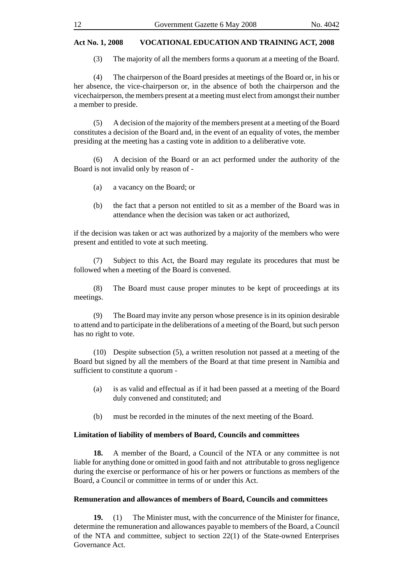(3) The majority of all the members forms a quorum at a meeting of the Board.

(4) The chairperson of the Board presides at meetings of the Board or, in his or her absence, the vice-chairperson or, in the absence of both the chairperson and the vicechairperson, the members present at a meeting must elect from amongst their number a member to preside.

(5) A decision of the majority of the members present at a meeting of the Board constitutes a decision of the Board and, in the event of an equality of votes, the member presiding at the meeting has a casting vote in addition to a deliberative vote.

(6) A decision of the Board or an act performed under the authority of the Board is not invalid only by reason of -

- (a) a vacancy on the Board; or
- (b) the fact that a person not entitled to sit as a member of the Board was in attendance when the decision was taken or act authorized,

if the decision was taken or act was authorized by a majority of the members who were present and entitled to vote at such meeting.

(7) Subject to this Act, the Board may regulate its procedures that must be followed when a meeting of the Board is convened.

(8) The Board must cause proper minutes to be kept of proceedings at its meetings.

(9) The Board may invite any person whose presence is in its opinion desirable to attend and to participate in the deliberations of a meeting of the Board, but such person has no right to vote.

(10) Despite subsection (5), a written resolution not passed at a meeting of the Board but signed by all the members of the Board at that time present in Namibia and sufficient to constitute a quorum -

- (a) is as valid and effectual as if it had been passed at a meeting of the Board duly convened and constituted; and
- (b) must be recorded in the minutes of the next meeting of the Board.

#### **Limitation of liability of members of Board, Councils and committees**

**18.** A member of the Board, a Council of the NTA or any committee is not liable for anything done or omitted in good faith and not attributable to gross negligence during the exercise or performance of his or her powers or functions as members of the Board, a Council or committee in terms of or under this Act.

#### **Remuneration and allowances of members of Board, Councils and committees**

**19.** (1) The Minister must, with the concurrence of the Minister for finance, determine the remuneration and allowances payable to members of the Board, a Council of the NTA and committee, subject to section 22(1) of the State-owned Enterprises Governance Act.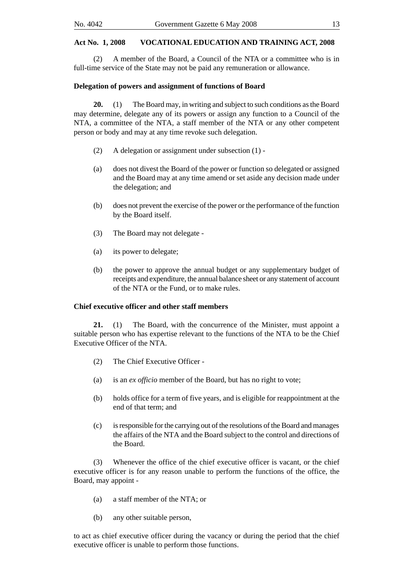(2) A member of the Board, a Council of the NTA or a committee who is in full-time service of the State may not be paid any remuneration or allowance.

#### **Delegation of powers and assignment of functions of Board**

**20.** (1) The Board may, in writing and subject to such conditions as the Board may determine, delegate any of its powers or assign any function to a Council of the NTA, a committee of the NTA, a staff member of the NTA or any other competent person or body and may at any time revoke such delegation.

- (2) A delegation or assignment under subsection (1) -
- (a) does not divest the Board of the power or function so delegated or assigned and the Board may at any time amend or set aside any decision made under the delegation; and
- (b) does not prevent the exercise of the power or the performance of the function by the Board itself.
- (3) The Board may not delegate -
- (a) its power to delegate;
- (b) the power to approve the annual budget or any supplementary budget of receipts and expenditure, the annual balance sheet or any statement of account of the NTA or the Fund, or to make rules.

#### **Chief executive officer and other staff members**

**21.** (1) The Board, with the concurrence of the Minister, must appoint a suitable person who has expertise relevant to the functions of the NTA to be the Chief Executive Officer of the NTA.

- (2) The Chief Executive Officer -
- (a) is an *ex officio* member of the Board, but has no right to vote;
- (b) holds office for a term of five years, and is eligible for reappointment at the end of that term; and
- (c) is responsible for the carrying out of the resolutions of the Board and manages the affairs of the NTA and the Board subject to the control and directions of the Board.

(3) Whenever the office of the chief executive officer is vacant, or the chief executive officer is for any reason unable to perform the functions of the office, the Board, may appoint -

- (a) a staff member of the NTA; or
- (b) any other suitable person,

to act as chief executive officer during the vacancy or during the period that the chief executive officer is unable to perform those functions.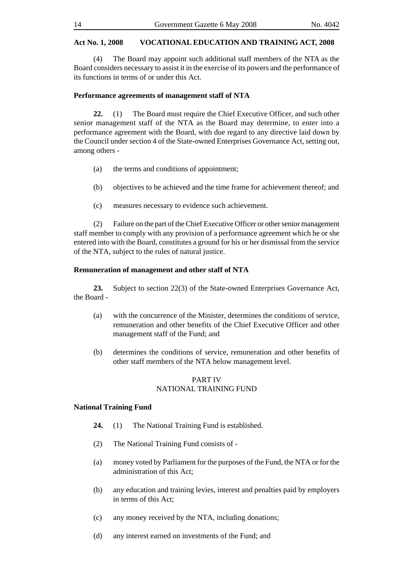(4) The Board may appoint such additional staff members of the NTA as the Board considers necessary to assist it in the exercise of its powers and the performance of its functions in terms of or under this Act.

#### **Performance agreements of management staff of NTA**

**22.** (1) The Board must require the Chief Executive Officer, and such other senior management staff of the NTA as the Board may determine, to enter into a performance agreement with the Board, with due regard to any directive laid down by the Council under section 4 of the State-owned Enterprises Governance Act, setting out, among others -

- (a) the terms and conditions of appointment;
- (b) objectives to be achieved and the time frame for achievement thereof; and
- (c) measures necessary to evidence such achievement.

(2) Failure on the part of the Chief Executive Officer or other senior management staff member to comply with any provision of a performance agreement which he or she entered into with the Board, constitutes a ground for his or her dismissal from the service of the NTA, subject to the rules of natural justice.

#### **Remuneration of management and other staff of NTA**

**23.** Subject to section 22(3) of the State-owned Enterprises Governance Act, the Board -

- (a) with the concurrence of the Minister, determines the conditions of service, remuneration and other benefits of the Chief Executive Officer and other management staff of the Fund; and
- (b) determines the conditions of service, remuneration and other benefits of other staff members of the NTA below management level.

#### PART IV NATIONAL TRAINING FUND

#### **National Training Fund**

- **24.** (1) The National Training Fund is established.
- (2) The National Training Fund consists of -
- (a) money voted by Parliament for the purposes of the Fund, the NTA or for the administration of this Act;
- (b) any education and training levies, interest and penalties paid by employers in terms of this Act;
- (c) any money received by the NTA, including donations;
- (d) any interest earned on investments of the Fund; and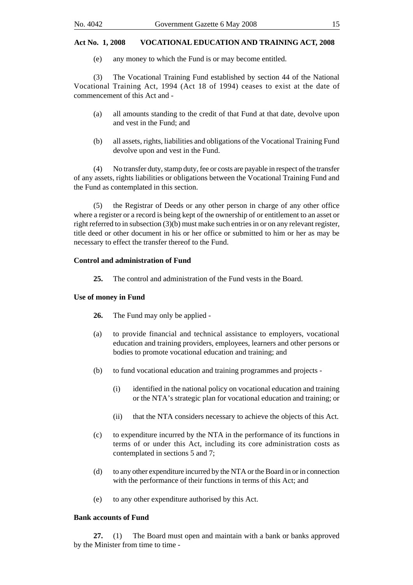(e) any money to which the Fund is or may become entitled.

(3) The Vocational Training Fund established by section 44 of the National Vocational Training Act, 1994 (Act 18 of 1994) ceases to exist at the date of commencement of this Act and -

- (a) all amounts standing to the credit of that Fund at that date, devolve upon and vest in the Fund; and
- (b) all assets, rights, liabilities and obligations of the Vocational Training Fund devolve upon and vest in the Fund.

(4) No transfer duty, stamp duty, fee or costs are payable in respect of the transfer of any assets, rights liabilities or obligations between the Vocational Training Fund and the Fund as contemplated in this section.

(5) the Registrar of Deeds or any other person in charge of any other office where a register or a record is being kept of the ownership of or entitlement to an asset or right referred to in subsection (3)(b) must make such entries in or on any relevant register, title deed or other document in his or her office or submitted to him or her as may be necessary to effect the transfer thereof to the Fund.

#### **Control and administration of Fund**

**25.** The control and administration of the Fund vests in the Board.

#### **Use of money in Fund**

- **26.** The Fund may only be applied -
- (a) to provide financial and technical assistance to employers, vocational education and training providers, employees, learners and other persons or bodies to promote vocational education and training; and
- (b) to fund vocational education and training programmes and projects
	- (i) identified in the national policy on vocational education and training or the NTA's strategic plan for vocational education and training; or
	- (ii) that the NTA considers necessary to achieve the objects of this Act.
- (c) to expenditure incurred by the NTA in the performance of its functions in terms of or under this Act, including its core administration costs as contemplated in sections 5 and 7;
- (d) to any other expenditure incurred by the NTA or the Board in or in connection with the performance of their functions in terms of this Act; and
- (e) to any other expenditure authorised by this Act.

#### **Bank accounts of Fund**

**27.** (1) The Board must open and maintain with a bank or banks approved by the Minister from time to time -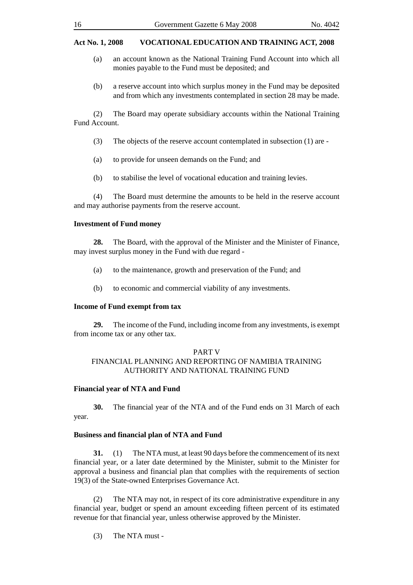- (a) an account known as the National Training Fund Account into which all monies payable to the Fund must be deposited; and
- (b) a reserve account into which surplus money in the Fund may be deposited and from which any investments contemplated in section 28 may be made.

(2) The Board may operate subsidiary accounts within the National Training Fund Account.

- (3) The objects of the reserve account contemplated in subsection (1) are -
- (a) to provide for unseen demands on the Fund; and
- (b) to stabilise the level of vocational education and training levies.

(4) The Board must determine the amounts to be held in the reserve account and may authorise payments from the reserve account.

## **Investment of Fund money**

**28.** The Board, with the approval of the Minister and the Minister of Finance, may invest surplus money in the Fund with due regard -

- (a) to the maintenance, growth and preservation of the Fund; and
- (b) to economic and commercial viability of any investments.

## **Income of Fund exempt from tax**

**29.** The income of the Fund, including income from any investments, is exempt from income tax or any other tax.

#### PART V FINANCIAL PLANNING AND REPORTING OF NAMIBIA TRAINING AUTHORITY AND NATIONAL TRAINING FUND

### **Financial year of NTA and Fund**

**30.** The financial year of the NTA and of the Fund ends on 31 March of each year.

## **Business and financial plan of NTA and Fund**

**31.** (1) The NTA must, at least 90 days before the commencement of its next financial year, or a later date determined by the Minister, submit to the Minister for approval a business and financial plan that complies with the requirements of section 19(3) of the State-owned Enterprises Governance Act.

(2) The NTA may not, in respect of its core administrative expenditure in any financial year, budget or spend an amount exceeding fifteen percent of its estimated revenue for that financial year, unless otherwise approved by the Minister.

(3) The NTA must -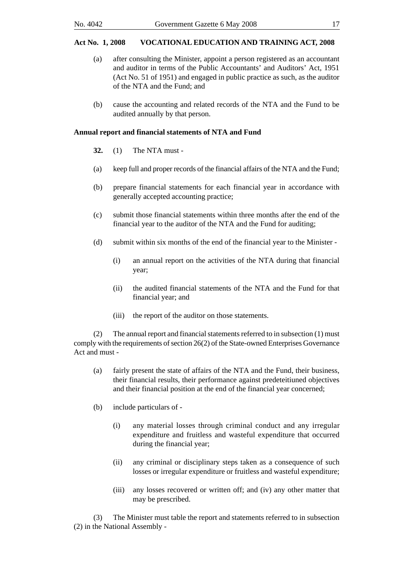- (a) after consulting the Minister, appoint a person registered as an accountant and auditor in terms of the Public Accountants' and Auditors' Act, 1951 (Act No. 51 of 1951) and engaged in public practice as such, as the auditor of the NTA and the Fund; and
- (b) cause the accounting and related records of the NTA and the Fund to be audited annually by that person.

#### **Annual report and financial statements of NTA and Fund**

- **32.** (1) The NTA must -
- (a) keep full and proper records of the financial affairs of the NTA and the Fund;
- (b) prepare financial statements for each financial year in accordance with generally accepted accounting practice;
- (c) submit those financial statements within three months after the end of the financial year to the auditor of the NTA and the Fund for auditing;
- (d) submit within six months of the end of the financial year to the Minister
	- (i) an annual report on the activities of the NTA during that financial year;
	- (ii) the audited financial statements of the NTA and the Fund for that financial year; and
	- (iii) the report of the auditor on those statements.

(2) The annual report and financial statements referred to in subsection (1) must comply with the requirements of section 26(2) of the State-owned Enterprises Governance Act and must -

- (a) fairly present the state of affairs of the NTA and the Fund, their business, their financial results, their performance against predeteitiuned objectives and their financial position at the end of the financial year concerned;
- (b) include particulars of
	- (i) any material losses through criminal conduct and any irregular expenditure and fruitless and wasteful expenditure that occurred during the financial year;
	- (ii) any criminal or disciplinary steps taken as a consequence of such losses or irregular expenditure or fruitless and wasteful expenditure;
	- (iii) any losses recovered or written off; and (iv) any other matter that may be prescribed.

(3) The Minister must table the report and statements referred to in subsection (2) in the National Assembly -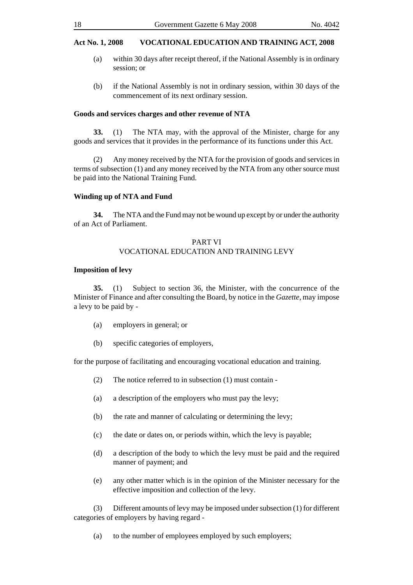- (a) within 30 days after receipt thereof, if the National Assembly is in ordinary session; or
- (b) if the National Assembly is not in ordinary session, within 30 days of the commencement of its next ordinary session.

#### **Goods and services charges and other revenue of NTA**

**33.** (1) The NTA may, with the approval of the Minister, charge for any goods and services that it provides in the performance of its functions under this Act.

(2) Any money received by the NTA for the provision of goods and services in terms of subsection (1) and any money received by the NTA from any other source must be paid into the National Training Fund.

#### **Winding up of NTA and Fund**

**34.** The NTA and the Fund may not be wound up except by or under the authority of an Act of Parliament.

#### PART VI VOCATIONAL EDUCATION AND TRAINING LEVY

#### **Imposition of levy**

**35.** (1) Subject to section 36, the Minister, with the concurrence of the Minister of Finance and after consulting the Board, by notice in the *Gazette*, may impose a levy to be paid by -

- (a) employers in general; or
- (b) specific categories of employers,

for the purpose of facilitating and encouraging vocational education and training.

- (2) The notice referred to in subsection (1) must contain -
- (a) a description of the employers who must pay the levy;
- (b) the rate and manner of calculating or determining the levy;
- (c) the date or dates on, or periods within, which the levy is payable;
- (d) a description of the body to which the levy must be paid and the required manner of payment; and
- (e) any other matter which is in the opinion of the Minister necessary for the effective imposition and collection of the levy.

(3) Different amounts of levy may be imposed under subsection (1) for different categories of employers by having regard -

(a) to the number of employees employed by such employers;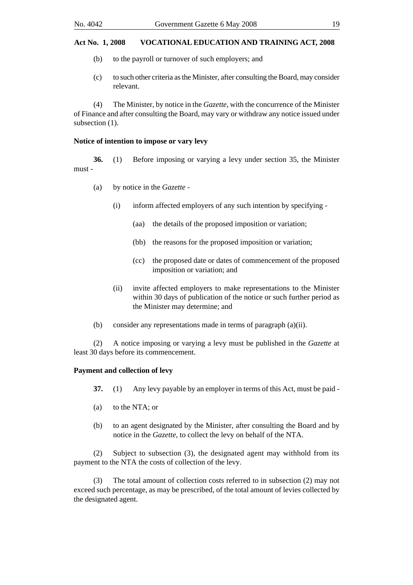- (b) to the payroll or turnover of such employers; and
- (c) to such other criteria as the Minister, after consulting the Board, may consider relevant.

(4) The Minister, by notice in the *Gazette*, with the concurrence of the Minister of Finance and after consulting the Board, may vary or withdraw any notice issued under subsection  $(1)$ .

#### **Notice of intention to impose or vary levy**

**36.** (1) Before imposing or varying a levy under section 35, the Minister must -

- (a) by notice in the *Gazette*
	- (i) inform affected employers of any such intention by specifying
		- (aa) the details of the proposed imposition or variation;
		- (bb) the reasons for the proposed imposition or variation;
		- (cc) the proposed date or dates of commencement of the proposed imposition or variation; and
	- (ii) invite affected employers to make representations to the Minister within 30 days of publication of the notice or such further period as the Minister may determine; and
- (b) consider any representations made in terms of paragraph (a)(ii).

(2) A notice imposing or varying a levy must be published in the *Gazette* at least 30 days before its commencement.

#### **Payment and collection of levy**

- **37.** (1) Any levy payable by an employer in terms of this Act, must be paid -
- (a) to the NTA; or
- (b) to an agent designated by the Minister, after consulting the Board and by notice in the *Gazette*, to collect the levy on behalf of the NTA.

(2) Subject to subsection (3), the designated agent may withhold from its payment to the NTA the costs of collection of the levy.

(3) The total amount of collection costs referred to in subsection (2) may not exceed such percentage, as may be prescribed, of the total amount of levies collected by the designated agent.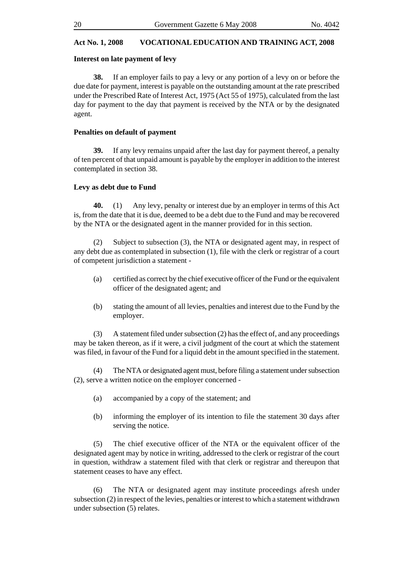#### **Interest on late payment of levy**

**38.** If an employer fails to pay a levy or any portion of a levy on or before the due date for payment, interest is payable on the outstanding amount at the rate prescribed under the Prescribed Rate of Interest Act, 1975 (Act 55 of 1975), calculated from the last day for payment to the day that payment is received by the NTA or by the designated agent.

#### **Penalties on default of payment**

**39.** If any levy remains unpaid after the last day for payment thereof, a penalty of ten percent of that unpaid amount is payable by the employer in addition to the interest contemplated in section 38.

#### **Levy as debt due to Fund**

**40.** (1) Any levy, penalty or interest due by an employer in terms of this Act is, from the date that it is due, deemed to be a debt due to the Fund and may be recovered by the NTA or the designated agent in the manner provided for in this section.

(2) Subject to subsection (3), the NTA or designated agent may, in respect of any debt due as contemplated in subsection (1), file with the clerk or registrar of a court of competent jurisdiction a statement -

- (a) certified as correct by the chief executive officer of the Fund or the equivalent officer of the designated agent; and
- (b) stating the amount of all levies, penalties and interest due to the Fund by the employer.

(3) A statement filed under subsection (2) has the effect of, and any proceedings may be taken thereon, as if it were, a civil judgment of the court at which the statement was filed, in favour of the Fund for a liquid debt in the amount specified in the statement.

(4) The NTA or designated agent must, before filing a statement under subsection (2), serve a written notice on the employer concerned -

- (a) accompanied by a copy of the statement; and
- (b) informing the employer of its intention to file the statement 30 days after serving the notice.

(5) The chief executive officer of the NTA or the equivalent officer of the designated agent may by notice in writing, addressed to the clerk or registrar of the court in question, withdraw a statement filed with that clerk or registrar and thereupon that statement ceases to have any effect.

(6) The NTA or designated agent may institute proceedings afresh under subsection (2) in respect of the levies, penalties or interest to which a statement withdrawn under subsection (5) relates.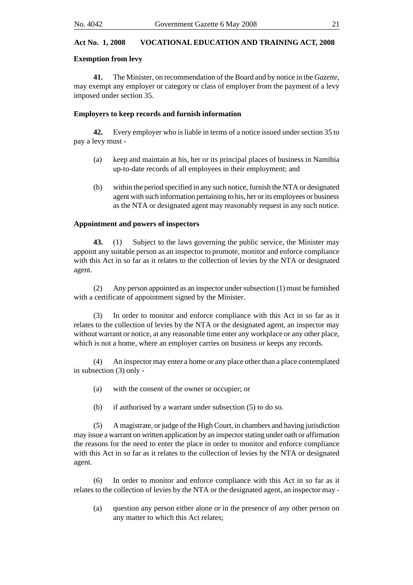#### **Exemption from levy**

**41.** The Minister, on recommendation of the Board and by notice in the *Gazette*, may exempt any employer or category or class of employer from the payment of a levy imposed under section 35.

#### **Employers to keep records and furnish information**

**42.** Every employer who is liable in terms of a notice issued under section 35 to pay a levy must -

- (a) keep and maintain at his, her or its principal places of business in Namibia up-to-date records of all employees in their employment; and
- (b) within the period specified in any such notice, furnish the NTA or designated agent with such information pertaining to his, her or its employees or business as the NTA or designated agent may reasonably request in any such notice.

#### **Appointment and powers of inspectors**

**43.** (1) Subject to the laws governing the public service, the Minister may appoint any suitable person as an inspector to promote, monitor and enforce compliance with this Act in so far as it relates to the collection of levies by the NTA or designated agent.

(2) Any person appointed as an inspector under subsection (1) must be furnished with a certificate of appointment signed by the Minister.

(3) In order to monitor and enforce compliance with this Act in so far as it relates to the collection of levies by the NTA or the designated agent, an inspector may without warrant or notice, at any reasonable time enter any workplace or any other place, which is not a home, where an employer carries on business or keeps any records.

(4) An inspector may enter a home or any place other than a place contemplated in subsection (3) only -

- (a) with the consent of the owner or occupier; or
- (b) if authorised by a warrant under subsection (5) to do so.

(5) A magistrate, or judge of the High Court, in chambers and having jurisdiction may issue a warrant on written application by an inspector stating under oath or affirmation the reasons for the need to enter the place in order to monitor and enforce compliance with this Act in so far as it relates to the collection of levies by the NTA or designated agent.

In order to monitor and enforce compliance with this Act in so far as it relates to the collection of levies by the NTA or the designated agent, an inspector may -

(a) question any person either alone or in the presence of any other person on any matter to which this Act relates;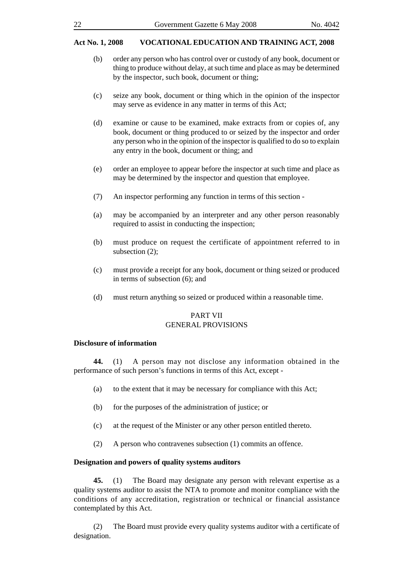- (b) order any person who has control over or custody of any book, document or thing to produce without delay, at such time and place as may be determined by the inspector, such book, document or thing;
- (c) seize any book, document or thing which in the opinion of the inspector may serve as evidence in any matter in terms of this Act;
- (d) examine or cause to be examined, make extracts from or copies of, any book, document or thing produced to or seized by the inspector and order any person who in the opinion of the inspector is qualified to do so to explain any entry in the book, document or thing; and
- (e) order an employee to appear before the inspector at such time and place as may be determined by the inspector and question that employee.
- (7) An inspector performing any function in terms of this section -
- (a) may be accompanied by an interpreter and any other person reasonably required to assist in conducting the inspection;
- (b) must produce on request the certificate of appointment referred to in subsection (2);
- (c) must provide a receipt for any book, document or thing seized or produced in terms of subsection (6); and
- (d) must return anything so seized or produced within a reasonable time.

#### PART VII GENERAL PROVISIONS

#### **Disclosure of information**

**44.** (1) A person may not disclose any information obtained in the performance of such person's functions in terms of this Act, except -

- (a) to the extent that it may be necessary for compliance with this Act;
- (b) for the purposes of the administration of justice; or
- (c) at the request of the Minister or any other person entitled thereto.
- (2) A person who contravenes subsection (1) commits an offence.

#### **Designation and powers of quality systems auditors**

**45.** (1) The Board may designate any person with relevant expertise as a quality systems auditor to assist the NTA to promote and monitor compliance with the conditions of any accreditation, registration or technical or financial assistance contemplated by this Act.

(2) The Board must provide every quality systems auditor with a certificate of designation.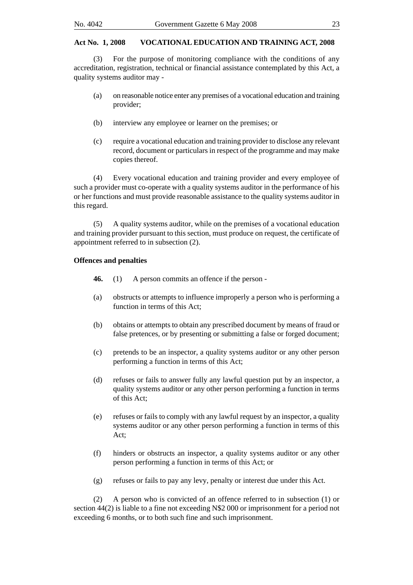(3) For the purpose of monitoring compliance with the conditions of any accreditation, registration, technical or financial assistance contemplated by this Act, a quality systems auditor may -

- (a) on reasonable notice enter any premises of a vocational education and training provider;
- (b) interview any employee or learner on the premises; or
- (c) require a vocational education and training provider to disclose any relevant record, document or particulars in respect of the programme and may make copies thereof.

(4) Every vocational education and training provider and every employee of such a provider must co-operate with a quality systems auditor in the performance of his or her functions and must provide reasonable assistance to the quality systems auditor in this regard.

(5) A quality systems auditor, while on the premises of a vocational education and training provider pursuant to this section, must produce on request, the certificate of appointment referred to in subsection (2).

#### **Offences and penalties**

- **46.** (1) A person commits an offence if the person -
- (a) obstructs or attempts to influence improperly a person who is performing a function in terms of this Act;
- (b) obtains or attempts to obtain any prescribed document by means of fraud or false pretences, or by presenting or submitting a false or forged document;
- (c) pretends to be an inspector, a quality systems auditor or any other person performing a function in terms of this Act;
- (d) refuses or fails to answer fully any lawful question put by an inspector, a quality systems auditor or any other person performing a function in terms of this Act;
- (e) refuses or fails to comply with any lawful request by an inspector, a quality systems auditor or any other person performing a function in terms of this Act;
- (f) hinders or obstructs an inspector, a quality systems auditor or any other person performing a function in terms of this Act; or
- (g) refuses or fails to pay any levy, penalty or interest due under this Act.

(2) A person who is convicted of an offence referred to in subsection (1) or section 44(2) is liable to a fine not exceeding N\$2 000 or imprisonment for a period not exceeding 6 months, or to both such fine and such imprisonment.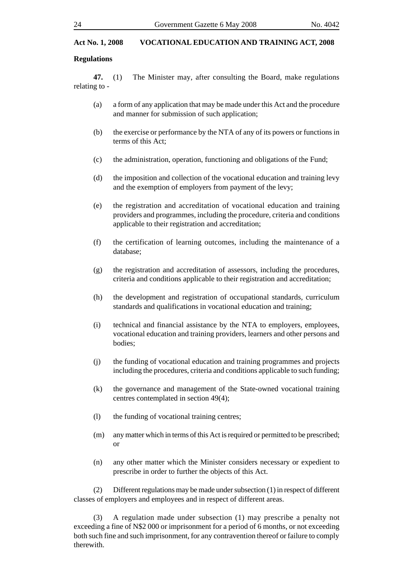#### **Regulations**

**47.** (1) The Minister may, after consulting the Board, make regulations relating to -

- (a) a form of any application that may be made under this Act and the procedure and manner for submission of such application;
- (b) the exercise or performance by the NTA of any of its powers or functions in terms of this Act;
- (c) the administration, operation, functioning and obligations of the Fund;
- (d) the imposition and collection of the vocational education and training levy and the exemption of employers from payment of the levy;
- (e) the registration and accreditation of vocational education and training providers and programmes, including the procedure, criteria and conditions applicable to their registration and accreditation;
- (f) the certification of learning outcomes, including the maintenance of a database;
- (g) the registration and accreditation of assessors, including the procedures, criteria and conditions applicable to their registration and accreditation;
- (h) the development and registration of occupational standards, curriculum standards and qualifications in vocational education and training;
- (i) technical and financial assistance by the NTA to employers, employees, vocational education and training providers, learners and other persons and bodies;
- (j) the funding of vocational education and training programmes and projects including the procedures, criteria and conditions applicable to such funding;
- (k) the governance and management of the State-owned vocational training centres contemplated in section 49(4);
- (l) the funding of vocational training centres;
- (m) any matter which in terms of this Act is required or permitted to be prescribed; or
- (n) any other matter which the Minister considers necessary or expedient to prescribe in order to further the objects of this Act.

(2) Different regulations may be made under subsection (1) in respect of different classes of employers and employees and in respect of different areas.

(3) A regulation made under subsection (1) may prescribe a penalty not exceeding a fine of N\$2 000 or imprisonment for a period of 6 months, or not exceeding both such fine and such imprisonment, for any contravention thereof or failure to comply therewith.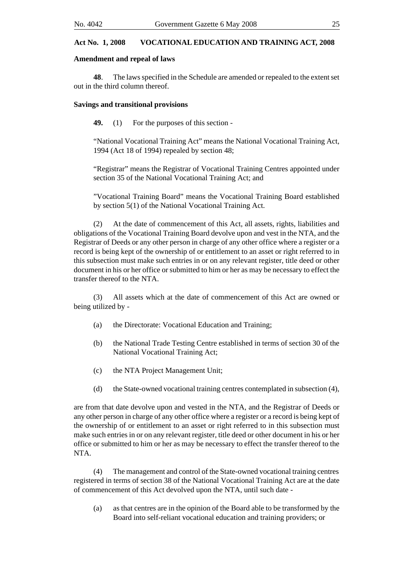#### **Amendment and repeal of laws**

**48**. The laws specified in the Schedule are amended or repealed to the extent set out in the third column thereof.

#### **Savings and transitional provisions**

**49.** (1) For the purposes of this section -

"National Vocational Training Act" means the National Vocational Training Act, 1994 (Act 18 of 1994) repealed by section 48;

"Registrar" means the Registrar of Vocational Training Centres appointed under section 35 of the National Vocational Training Act; and

"Vocational Training Board" means the Vocational Training Board established by section 5(1) of the National Vocational Training Act.

(2) At the date of commencement of this Act, all assets, rights, liabilities and obligations of the Vocational Training Board devolve upon and vest in the NTA, and the Registrar of Deeds or any other person in charge of any other office where a register or a record is being kept of the ownership of or entitlement to an asset or right referred to in this subsection must make such entries in or on any relevant register, title deed or other document in his or her office or submitted to him or her as may be necessary to effect the transfer thereof to the NTA.

(3) All assets which at the date of commencement of this Act are owned or being utilized by -

- (a) the Directorate: Vocational Education and Training;
- (b) the National Trade Testing Centre established in terms of section 30 of the National Vocational Training Act;
- (c) the NTA Project Management Unit;
- (d) the State-owned vocational training centres contemplated in subsection (4),

are from that date devolve upon and vested in the NTA, and the Registrar of Deeds or any other person in charge of any other office where a register or a record is being kept of the ownership of or entitlement to an asset or right referred to in this subsection must make such entries in or on any relevant register, title deed or other document in his or her office or submitted to him or her as may be necessary to effect the transfer thereof to the NTA.

(4) The management and control of the State-owned vocational training centres registered in terms of section 38 of the National Vocational Training Act are at the date of commencement of this Act devolved upon the NTA, until such date -

(a) as that centres are in the opinion of the Board able to be transformed by the Board into self-reliant vocational education and training providers; or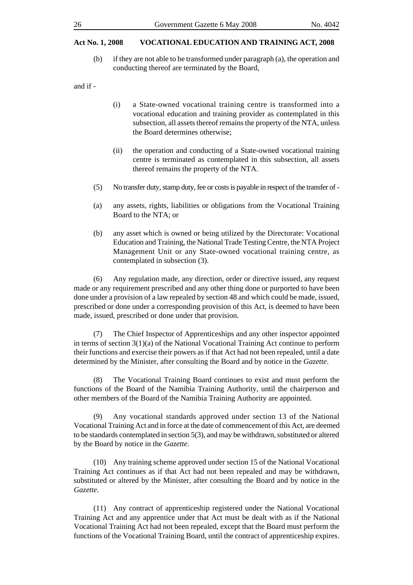(b) if they are not able to be transformed under paragraph (a), the operation and conducting thereof are terminated by the Board,

and if -

- (i) a State-owned vocational training centre is transformed into a vocational education and training provider as contemplated in this subsection, all assets thereof remains the property of the NTA, unless the Board determines otherwise;
- (ii) the operation and conducting of a State-owned vocational training centre is terminated as contemplated in this subsection, all assets thereof remains the property of the NTA.
- (5) No transfer duty, stamp duty, fee or costs is payable in respect of the transfer of -
- (a) any assets, rights, liabilities or obligations from the Vocational Training Board to the NTA; or
- (b) any asset which is owned or being utilized by the Directorate: Vocational Education and Training, the National Trade Testing Centre, the NTA Project Management Unit or any State-owned vocational training centre, as contemplated in subsection (3).

(6) Any regulation made, any direction, order or directive issued, any request made or any requirement prescribed and any other thing done or purported to have been done under a provision of a law repealed by section 48 and which could be made, issued, prescribed or done under a corresponding provision of this Act, is deemed to have been made, issued, prescribed or done under that provision.

(7) The Chief Inspector of Apprenticeships and any other inspector appointed in terms of section  $3(1)(a)$  of the National Vocational Training Act continue to perform their functions and exercise their powers as if that Act had not been repealed, until a date determined by the Minister, after consulting the Board and by notice in the *Gazette*.

(8) The Vocational Training Board continues to exist and must perform the functions of the Board of the Namibia Training Authority, until the chairperson and other members of the Board of the Namibia Training Authority are appointed.

(9) Any vocational standards approved under section 13 of the National Vocational Training Act and in force at the date of commencement of this Act, are deemed to be standards contemplated in section 5(3), and may be withdrawn, substituted or altered by the Board by notice in the *Gazette*.

(10) Any training scheme approved under section 15 of the National Vocational Training Act continues as if that Act had not been repealed and may be withdrawn, substituted or altered by the Minister, after consulting the Board and by notice in the *Gazette*.

(11) Any contract of apprenticeship registered under the National Vocational Training Act and any apprentice under that Act must be dealt with as if the National Vocational Training Act had not been repealed, except that the Board must perform the functions of the Vocational Training Board, until the contract of apprenticeship expires.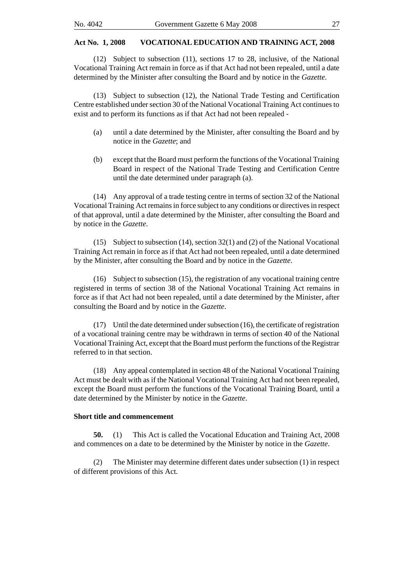(12) Subject to subsection (11), sections 17 to 28, inclusive, of the National Vocational Training Act remain in force as if that Act had not been repealed, until a date determined by the Minister after consulting the Board and by notice in the *Gazette*.

(13) Subject to subsection (12), the National Trade Testing and Certification Centre established under section 30 of the National Vocational Training Act continues to exist and to perform its functions as if that Act had not been repealed -

- (a) until a date determined by the Minister, after consulting the Board and by notice in the *Gazette*; and
- (b) except that the Board must perform the functions of the Vocational Training Board in respect of the National Trade Testing and Certification Centre until the date determined under paragraph (a).

(14) Any approval of a trade testing centre in terms of section 32 of the National Vocational Training Act remains in force subject to any conditions or directives in respect of that approval, until a date determined by the Minister, after consulting the Board and by notice in the *Gazette*.

(15) Subject to subsection (14), section 32(1) and (2) of the National Vocational Training Act remain in force as if that Act had not been repealed, until a date determined by the Minister, after consulting the Board and by notice in the *Gazette*.

(16) Subject to subsection (15), the registration of any vocational training centre registered in terms of section 38 of the National Vocational Training Act remains in force as if that Act had not been repealed, until a date determined by the Minister, after consulting the Board and by notice in the *Gazette*.

(17) Until the date determined under subsection (16), the certificate of registration of a vocational training centre may be withdrawn in terms of section 40 of the National Vocational Training Act, except that the Board must perform the functions of the Registrar referred to in that section.

(18) Any appeal contemplated in section 48 of the National Vocational Training Act must be dealt with as if the National Vocational Training Act had not been repealed, except the Board must perform the functions of the Vocational Training Board, until a date determined by the Minister by notice in the *Gazette*.

#### **Short title and commencement**

**50.** (1) This Act is called the Vocational Education and Training Act, 2008 and commences on a date to be determined by the Minister by notice in the *Gazette*.

(2) The Minister may determine different dates under subsection (1) in respect of different provisions of this Act.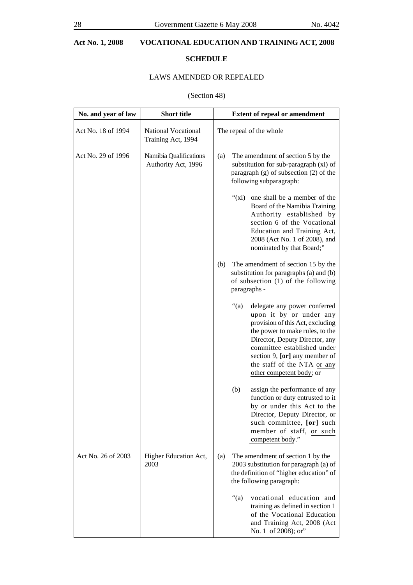## **SCHEDULE**

## LAWS AMENDED OR REPEALED

## (Section 48)

| No. and year of law | <b>Short title</b>                            |     | <b>Extent of repeal or amendment</b>                                                                                                                                                                                                                                                                   |  |
|---------------------|-----------------------------------------------|-----|--------------------------------------------------------------------------------------------------------------------------------------------------------------------------------------------------------------------------------------------------------------------------------------------------------|--|
| Act No. 18 of 1994  | National Vocational<br>Training Act, 1994     |     | The repeal of the whole                                                                                                                                                                                                                                                                                |  |
| Act No. 29 of 1996  | Namibia Qualifications<br>Authority Act, 1996 | (a) | The amendment of section 5 by the<br>substitution for sub-paragraph (xi) of<br>paragraph $(g)$ of subsection $(2)$ of the<br>following subparagraph:                                                                                                                                                   |  |
|                     |                                               |     | one shall be a member of the<br>" $(xi)$<br>Board of the Namibia Training<br>Authority established by<br>section 6 of the Vocational<br>Education and Training Act,<br>2008 (Act No. 1 of 2008), and<br>nominated by that Board;"                                                                      |  |
|                     |                                               | (b) | The amendment of section 15 by the<br>substitution for paragraphs (a) and (b)<br>of subsection (1) of the following<br>paragraphs -                                                                                                                                                                    |  |
|                     |                                               |     | " $(a)$<br>delegate any power conferred<br>upon it by or under any<br>provision of this Act, excluding<br>the power to make rules, to the<br>Director, Deputy Director, any<br>committee established under<br>section 9, [or] any member of<br>the staff of the NTA or any<br>other competent body; or |  |
|                     |                                               |     | assign the performance of any<br>(b)<br>function or duty entrusted to it<br>by or under this Act to the<br>Director, Deputy Director, or<br>such committee, [or] such<br>member of staff, or such<br>competent body."                                                                                  |  |
| Act No. 26 of 2003  | Higher Education Act,<br>2003                 | (a) | The amendment of section 1 by the<br>2003 substitution for paragraph (a) of<br>the definition of "higher education" of<br>the following paragraph:                                                                                                                                                     |  |
|                     |                                               |     | " $(a)$<br>vocational education and<br>training as defined in section 1<br>of the Vocational Education<br>and Training Act, 2008 (Act<br>No. 1 of 2008); or"                                                                                                                                           |  |